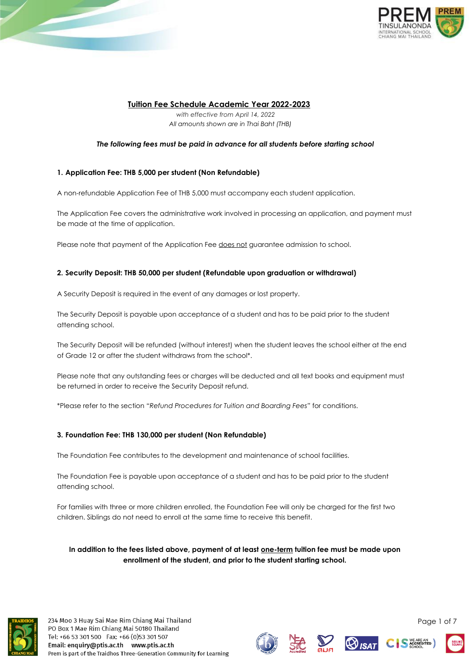

# **Tuition Fee Schedule Academic Year 2022-2023**

*with effective from April 14, 2022 All amounts shown are in Thai Baht (THB)*

## *The following fees must be paid in advance for all students before starting school*

## **1. Application Fee: THB 5,000 per student (Non Refundable)**

A non-refundable Application Fee of THB 5,000 must accompany each student application.

The Application Fee covers the administrative work involved in processing an application, and payment must be made at the time of application.

Please note that payment of the Application Fee does not guarantee admission to school.

## **2. Security Deposit: THB 50,000 per student (Refundable upon graduation or withdrawal)**

A Security Deposit is required in the event of any damages or lost property.

The Security Deposit is payable upon acceptance of a student and has to be paid prior to the student attending school.

The Security Deposit will be refunded (without interest) when the student leaves the school either at the end of Grade 12 or after the student withdraws from the school\*.

Please note that any outstanding fees or charges will be deducted and all text books and equipment must be returned in order to receive the Security Deposit refund.

\*Please refer to the section *"Refund Procedures for Tuition and Boarding Fees"* for conditions.

## **3. Foundation Fee: THB 130,000 per student (Non Refundable)**

The Foundation Fee contributes to the development and maintenance of school facilities.

The Foundation Fee is payable upon acceptance of a student and has to be paid prior to the student attending school.

For families with three or more children enrolled, the Foundation Fee will only be charged for the first two children. Siblings do not need to enroll at the same time to receive this benefit.

**In addition to the fees listed above, payment of at least one-term tuition fee must be made upon enrollment of the student, and prior to the student starting school.**



234 Moo 3 Huay Sai Mae Rim Chiang Mai Thailand PO Box 1 Mae Rim Chiang Mai 50180 Thailand Tel: +66 53 301 500 Fax: +66 (0)53 301 507 Email: enquiry@ptis.ac.th www.ptis.ac.th Prem is part of the Traidhos Three-Generation Community for Learning











Page 1 of 7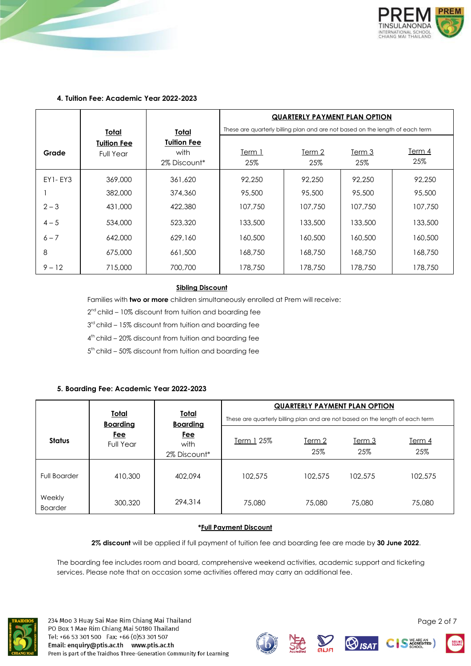

## **4. Tuition Fee: Academic Year 2022-2023**

|          |                                        |                                            | <b>QUARTERLY PAYMENT PLAN OPTION</b>                                          |               |               |               |
|----------|----------------------------------------|--------------------------------------------|-------------------------------------------------------------------------------|---------------|---------------|---------------|
|          | <u>Total</u>                           | <u>Total</u>                               | These are quarterly billing plan and are not based on the length of each term |               |               |               |
| Grade    | <b>Tuition Fee</b><br><b>Full Year</b> | <b>Tuition Fee</b><br>with<br>2% Discount* | Term 1<br>25%                                                                 | Term 2<br>25% | Term 3<br>25% | Term 4<br>25% |
| EY1- EY3 | 369,000                                | 361,620                                    | 92,250                                                                        | 92,250        | 92,250        | 92,250        |
|          | 382,000                                | 374,360                                    | 95,500                                                                        | 95,500        | 95,500        | 95,500        |
| $2 - 3$  | 431,000                                | 422,380                                    | 107,750                                                                       | 107,750       | 107,750       | 107,750       |
| $4 - 5$  | 534,000                                | 523,320                                    | 133,500                                                                       | 133,500       | 133,500       | 133,500       |
| $6 - 7$  | 642,000                                | 629,160                                    | 160,500                                                                       | 160,500       | 160,500       | 160,500       |
| 8        | 675,000                                | 661,500                                    | 168,750                                                                       | 168,750       | 168,750       | 168,750       |
| $9 - 12$ | 715,000                                | 700,700                                    | 178,750                                                                       | 178,750       | 178,750       | 178,750       |

## **Sibling Discount**

Families with **two or more** children simultaneously enrolled at Prem will receive:

 $2<sup>nd</sup>$  child – 10% discount from tuition and boarding fee

3<sup>rd</sup> child – 15% discount from tuition and boarding fee

4 th child – 20% discount from tuition and boarding fee

5<sup>th</sup> child - 50% discount from tuition and boarding fee

## **5. Boarding Fee: Academic Year 2022-2023**

|                          |                                 |                                    | <b>QUARTERLY PAYMENT PLAN OPTION</b>                                          |                      |                      |                      |
|--------------------------|---------------------------------|------------------------------------|-------------------------------------------------------------------------------|----------------------|----------------------|----------------------|
|                          | <u>Total</u><br><b>Boarding</b> | <u>Total</u><br><b>Boarding</b>    | These are quarterly billing plan and are not based on the length of each term |                      |                      |                      |
| Status                   | Fee<br><b>Full Year</b>         | <u>Fee</u><br>with<br>2% Discount* | <u>Term 1</u> 25%                                                             | <u>Term 2</u><br>25% | <u>Term 3</u><br>25% | <u>Term 4</u><br>25% |
| <b>Full Boarder</b>      | 410,300                         | 402,094                            | 102,575                                                                       | 102.575              | 102.575              | 102,575              |
| Weekly<br><b>Boarder</b> | 300,320                         | 294,314                            | 75,080                                                                        | 75,080               | 75,080               | 75,080               |

### **\*Full Payment Discount**

**2% discount** will be applied if full payment of tuition fee and boarding fee are made by **30 June 2022**.

The boarding fee includes room and board, comprehensive weekend activities, academic support and ticketing services. Please note that on occasion some activities offered may carry an additional fee.



234 Moo 3 Huay Sai Mae Rim Chiang Mai Thailand PO Box 1 Mae Rim Chiang Mai 50180 Thailand Tel: +66 53 301 500 Fax: +66 (0)53 301 507 Email: enquiry@ptis.ac.th www.ptis.ac.th Prem is part of the Traidhos Three-Generation Community for Learning











Page 2 of 7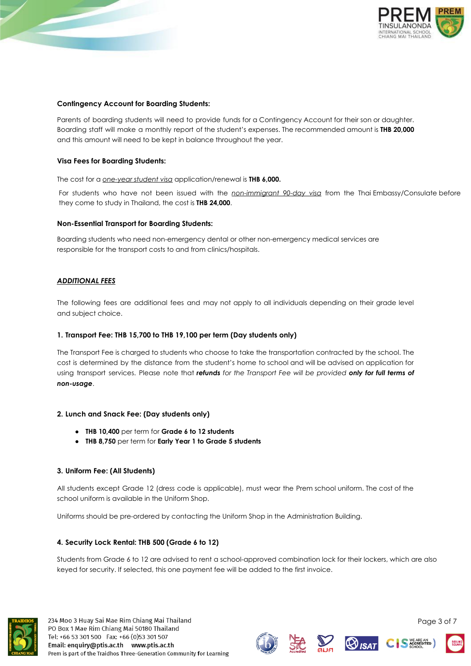

### **Contingency Account for Boarding Students:**

Parents of boarding students will need to provide funds for a Contingency Account for their son or daughter. Boarding staff will make a monthly report of the student's expenses. The recommended amount is **THB 20,000** and this amount will need to be kept in balance throughout the year.

### **Visa Fees for Boarding Students:**

The cost for a *one-year student visa* application/renewal is **THB 6,000.**

For students who have not been issued with the *non-immigrant 90-day visa* from the Thai Embassy/Consulate before they come to study in Thailand, the cost is **THB 24,000**.

#### **Non-Essential Transport for Boarding Students:**

Boarding students who need non-emergency dental or other non-emergency medical services are responsible for the transport costs to and from clinics/hospitals.

### *ADDITIONAL FEES*

The following fees are additional fees and may not apply to all individuals depending on their grade level and subject choice.

#### **1. Transport Fee: THB 15,700 to THB 19,100 per term (Day students only)**

The Transport Fee is charged to students who choose to take the transportation contracted by the school. The cost is determined by the distance from the student's home to school and will be advised on application for using transport services. Please note that *refunds for the Transport Fee will be provided only for full terms of non-usage*.

#### **2. Lunch and Snack Fee: (Day students only)**

- **● THB 10,400** per term for **Grade 6 to 12 students**
- **● THB 8,750** per term for **Early Year 1 to Grade 5 students**

#### **3. Uniform Fee: (All Students)**

All students except Grade 12 (dress code is applicable), must wear the Prem school uniform. The cost of the school uniform is available in the Uniform Shop.

Uniforms should be pre-ordered by contacting the Uniform Shop in the Administration Building.

#### **4. Security Lock Rental: THB 500 (Grade 6 to 12)**

Students from Grade 6 to 12 are advised to rent a school-approved combination lock for their lockers, which are also keyed for security. If selected, this one payment fee will be added to the first invoice.













Page 3 of 7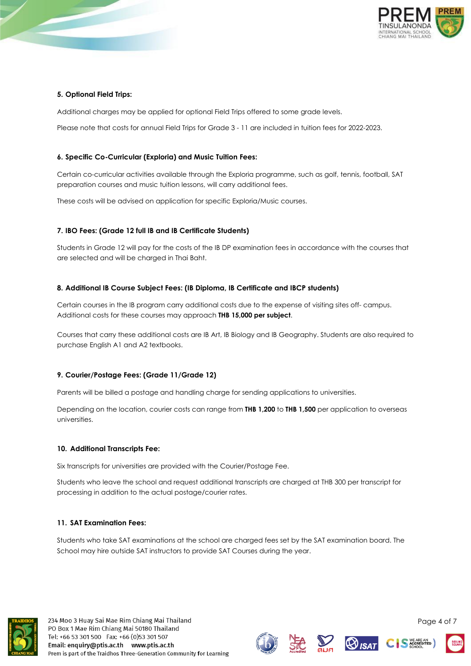

## **5. Optional Field Trips:**

Additional charges may be applied for optional Field Trips offered to some grade levels.

Please note that costs for annual Field Trips for Grade 3 - 11 are included in tuition fees for 2022-2023.

## **6. Specific Co-Curricular (Exploria) and Music Tuition Fees:**

Certain co-curricular activities available through the Exploria programme, such as golf, tennis, football, SAT preparation courses and music tuition lessons, will carry additional fees.

These costs will be advised on application for specific Exploria/Music courses.

## **7. IBO Fees: (Grade 12 full IB and IB Certificate Students)**

Students in Grade 12 will pay for the costs of the IB DP examination fees in accordance with the courses that are selected and will be charged in Thai Baht.

## **8. Additional IB Course Subject Fees: (IB Diploma, IB Certificate and IBCP students)**

Certain courses in the IB program carry additional costs due to the expense of visiting sites off- campus. Additional costs for these courses may approach **THB 15,000 per subject**.

Courses that carry these additional costs are IB Art, IB Biology and IB Geography. Students are also required to purchase English A1 and A2 textbooks.

## **9. Courier/Postage Fees: (Grade 11/Grade 12)**

Parents will be billed a postage and handling charge for sending applications to universities.

Depending on the location, courier costs can range from **THB 1,200** to **THB 1,500** per application to overseas universities.

## **10. Additional Transcripts Fee:**

Six transcripts for universities are provided with the Courier/Postage Fee.

Students who leave the school and request additional transcripts are charged at THB 300 per transcript for processing in addition to the actual postage/courier rates.

## **11. SAT Examination Fees:**

Students who take SAT examinations at the school are charged fees set by the SAT examination board. The School may hire outside SAT instructors to provide SAT Courses during the year.













Page 4 of 7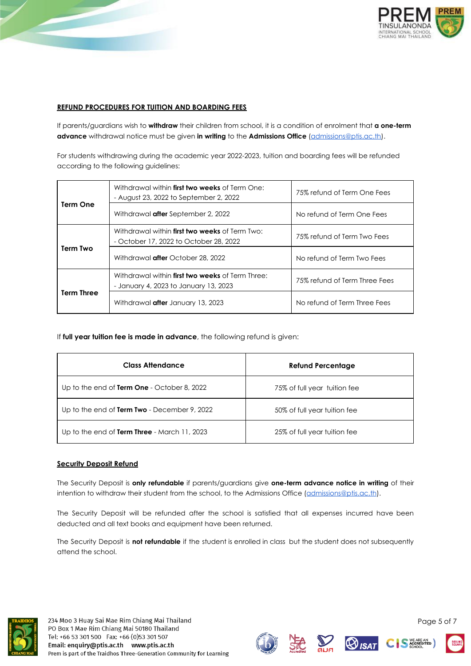

## **REFUND PROCEDURES FOR TUITION AND BOARDING FEES**

If parents/guardians wish to **withdraw** their children from school, it is a condition of enrolment that **a one-term advance** withdrawal notice must be given **in writing** to the **Admissions Office** (admissions@ptis.ac.th).

For students withdrawing during the academic year 2022-2023, tuition and boarding fees will be refunded according to the following guidelines:

| Term One          | Withdrawal within first two weeks of Term One:<br>- August 23, 2022 to September 2, 2022        | 75% refund of Term One Fees   |  |
|-------------------|-------------------------------------------------------------------------------------------------|-------------------------------|--|
|                   | Withdrawal <b>after</b> September 2, 2022                                                       | No refund of Term One Fees    |  |
|                   | Withdrawal within <b>first two weeks</b> of Term Two:<br>- October 17, 2022 to October 28, 2022 | 75% refund of Term Two Fees   |  |
| Term Two          | Withdrawal <b>after</b> October 28, 2022                                                        | No refund of Term Two Fees    |  |
| <b>Term Three</b> | Withdrawal within first two weeks of Term Three:<br>- January 4, 2023 to January 13, 2023       | 75% refund of Term Three Fees |  |
|                   | Withdrawal <b>after</b> January 13, 2023                                                        | No refund of Term Three Fees  |  |

If **full year tuition fee is made in advance**, the following refund is given:

| <b>Class Attendance</b>                      | <b>Refund Percentage</b>     |
|----------------------------------------------|------------------------------|
| Up to the end of Term One - October 8, 2022  | 75% of full year tuition fee |
| Up to the end of Term Two - December 9, 2022 | 50% of full year tuition fee |
| Up to the end of Term Three - March 11, 2023 | 25% of full year tuition fee |

## **Security Deposit Refund**

The Security Deposit is **only refundable** if parents/guardians give **one-term advance notice in writing** of their intention to withdraw their student from the school, to the Admissions Office (admissions@ptis.ac.th).

The Security Deposit will be refunded after the school is satisfied that all expenses incurred have been deducted and all text books and equipment have been returned.

The Security Deposit is **not refundable** if the student is enrolled in class but the student does not subsequently attend the school.













Page 5 of 7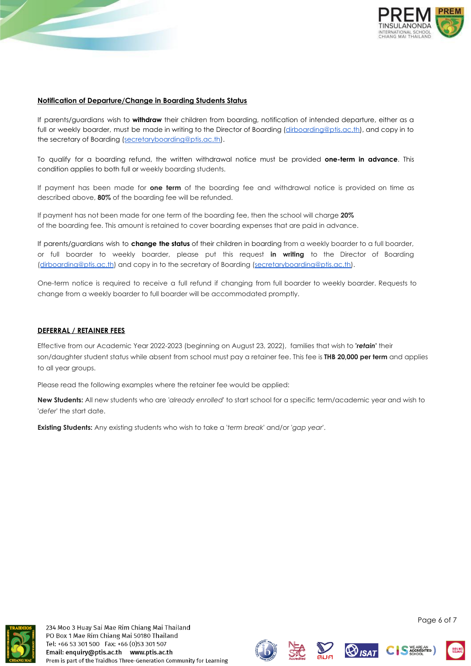



### **Notification of Departure/Change in Boarding Students Status**

If parents/guardians wish to **withdraw** their children from boarding, notification of intended departure, either as a full or weekly boarder, must be made in writing to the Director of Boarding (dirboarding@ptis.ac.th), and copy in to the secretary of Boarding (secretaryboarding@ptis.ac.th).

To qualify for a boarding refund, the written withdrawal notice must be provided **one-term in advance**. This condition applies to both full or weekly boarding students.

If payment has been made for **one term** of the boarding fee and withdrawal notice is provided on time as described above, **80%** of the boarding fee will be refunded.

If payment has not been made for one term of the boarding fee, then the school will charge **20%** of the boarding fee. This amount is retained to cover boarding expenses that are paid in advance.

If parents/guardians wish to **change the status** of their children in boarding from a weekly boarder to a full boarder, or full boarder to weekly boarder, please put this request **in writing** to the Director of Boarding ([dirboarding@ptis.ac.th](mailto:dirboarding@ptis.ac.th)) and copy in to the secretary of Boarding (secretaryboarding@ptis.ac.th).

One-term notice is required to receive a full refund if changing from full boarder to weekly boarder. Requests to change from a weekly boarder to full boarder will be accommodated promptly.

#### **DEFERRAL / RETAINER FEES**

Effective from our Academic Year 2022-2023 (beginning on August 23, 2022), families that wish to **'***retain***'** their son/daughter student status while absent from school must pay a retainer fee. This fee is **THB 20,000 per term** and applies to all year groups.

Please read the following examples where the retainer fee would be applied:

**New Students:** All new students who are *'already enrolled*' to start school for a specific term/academic year and wish to '*defer*' the start date.

**Existing Students:** Any existing students who wish to take a '*term break*' and/or '*gap year*'.



234 Moo 3 Huay Sai Mae Rim Chiang Mai Thailand PO Box 1 Mae Rim Chiang Mai 50180 Thailand Tel: +66 53 301 500 Fax: +66 (0)53 301 507 Email: enquiry@ptis.ac.th www.ptis.ac.th Prem is part of the Traidhos Three-Generation Community for Learning









Page 6 of 7